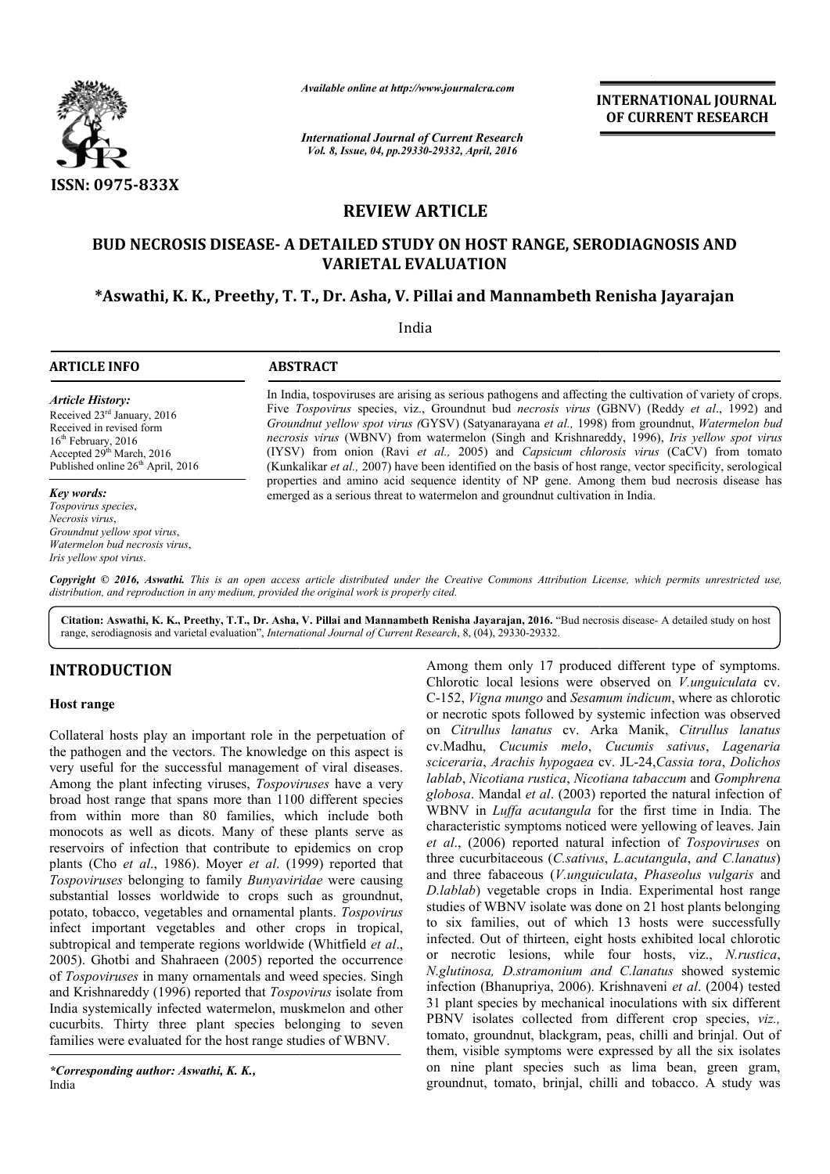

*Available online at http://www.journalcra.com*

*International Journal of Current Research Vol. 8, Issue, 04, pp.29330-29332, April, 2016*

**INTERNATIONAL JOURNAL OF CURRENT RESEARCH** 

# **REVIEW ARTICLE**

## **BUD NECROSIS DISEASE- A DETAILED STUDY ON HOST RANGE, SERODIAGNOSIS AND ON HOST VARIETAL EVALUATION**

## **\*Aswathi, K. K., Preethy, T. T., Dr. Asha, V. Pillai and Mannambeth Renisha Jayarajan**

India  $\overline{a}$ 

#### **ARTICLE INFO ABSTRACT**

*Article History:* Received 23rd January, 2016 Received in revised form 16<sup>th</sup> February, 2016 Accepted 29th March, 2016 Published online  $26<sup>th</sup>$  April, 2016

#### *Key words:*

*Tospovirus species*, *Necrosis virus*, *Groundnut yellow spot virus*, *Watermelon bud necrosis virus*, *Iris yellow spot virus*.

In India, tospoviruses are arising as serious pathogens and affecting the cultivation of variety of crops. Five *Tospovirus* species, viz., Groundnut bud *necrosis virus* (GBNV) (Reddy *et al*., 1992) and *Groundnut yellow spot virus (* GYSV) (Satyanarayana *et al.,* 1998) from groundnut, *Watermelon bud*  necrosis virus (WBNV) from watermelon (Singh and Krishnareddy, 1996), *Iris yellow spot virus* (IYSV) from onion (Ravi *et al.,* 2005) and *Capsicum chlorosis virus chlorosis*  (CaCV) from tomato (Kunkalikar *et al.,* 2007) have been identified on the basis of host range, vector specificity, serological properties and amino acid sequence identity of NP gene. Among them bud necrosis disease has emerged as a serious threat to watermelon and groundnut cultivation in India. (Kunkalikar *et al.*, 2007) have been identified on the basis of host range, vector specificity, properties and amino acid sequence identity of NP gene. Among them bud necrosis of emerged as a serious threat to watermelon

Copyright © 2016, Aswathi. This is an open access article distributed under the Creative Commons Attribution License, which permits unrestricted use, *distribution, and reproduction in any medium, provided the original work is properly cited.*

Citation: Aswathi, K. K., Preethy, T.T., Dr. Asha, V. Pillai and Mannambeth Renisha Jayarajan, 2016. "Bud necrosis disease- A detailed study on host range, serodiagnosis and varietal evaluation", *International Journal of Current Research* , 8, (04), 29330-29332.

## **INTRODUCTION**

### **Host range**

Collateral hosts play an important role in the perpetuation of the pathogen and the vectors. The knowledge on this aspect is very useful for the successful management of viral diseases. Among the plant infecting viruses, *Tospoviruses* have a very broad host range that spans more than 1100 different species from within more than 80 families, which include both monocots as well as dicots. Many of these plants serve as reservoirs of infection that contribute to epidemics on crop plants (Cho *et al*., 1986). Moyer *et al*. (1999) reported that *Tospoviruses* belonging to family *Bunyaviridae*  were causing substantial losses worldwide to crops such as groundnut, potato, tobacco, vegetables and ornamental plants. *Tospovirus* infect important vegetables and other crops in tropical, subtropical and temperate regions worldwide (Whitfield *et al*., 2005). Ghotbi and Shahraeen (2005) reported the occurrence of *Tospoviruses* in many ornamentals and weed species. Singh and Krishnareddy (1996) reported that *Tospovirus* isolate from India systemically infected watermelon, muskmelon and other cucurbits. Thirty three plant species belonging to seven families were evaluated for the host range studies of WBNV.

*\*Corresponding author: Aswathi, K. K.,* India

Among them only 17 produced different type of symptoms.<br>
C-Iorso: Clorotric local lesions were observed on V.*unguiculata* ev.<br>
C-Iorso: Vigara mungo and Sesamum indicum, where as chlorotic<br>
or necrotic spots followed by Among them only 17 produced different type of symptoms.<br>Chlorotic local lesions were observed on *V.unguiculata* cv. C-152, *Vigna mungo* and *Sesamum indicum* , where as chlorotic or necrotic spots followed by systemic infection was observed on *Citrullus lanatus* cv. Arka Manik, *Citrullus lanatus* cv.Madhu, *Cucumis melo*, *Cucumis sativus*, *Lagenaria sciceraria*, *Arachis hypogaea* cv. JL JL-24,*Cassia tora*, *Dolichos lablab*, *Nicotiana rustica*, *Nicotiana tabaccum* and *Gomphrena globosa*. Mandal *et al*. (2003) reported the natural infection of WBNV in *Luffa acutangula* for the first time in India. The characteristic symptoms noticed were yellowing of leaves. Jain *et al*., (2006) reported natural infection of three cucurbitaceous (*C.sativus* , *L.acutangula*, *and C.lanatus*) and three fabaceous (*V.unguiculata* , *Phaseolus vulgaris* and *D.lablab*) vegetable crops in India. Experimental host range D.lablab) vegetable crops in India. Experimental host range studies of WBNV isolate was done on 21 host plants belonging to six families, out of which 13 hosts were successfully to six families, out of which 13 hosts were successfully infected. Out of thirteen, eight hosts exhibited local chlorotic or necrotic lesions, while four hosts, viz., *N.rustica*, *N.glutinosa, D.stramonium and C.lanatus N.glutinosa, C.lanatus* showed systemic infection (Bhanupriya, 2006). Krishnaveni *et al*. (2004) tested 31 plant species by mechanical inoculations with six different 31 plant species by mechanical inoculations with six different PBNV isolates collected from different crop species, *viz.*, tomato, groundnut, blackgram, peas, chilli and brinjal. Out of them, visible symptoms were expressed by all the six isolates on nine plant species such as lima bean, green gram, groundnut, tomato, brinjal, chilli and tobacco. dal *et al.* (2003) reported the natural infection of *iffa acutangula* for the first time in India. The symptoms noticed were yellowing of leaves. Jain reported natural infection of *Tospoviruses* on ato, groundnut, blackgram, peas, chilli and brinjal. Out of n, visible symptoms were expressed by all the six isolates nine plant species such as lima bean, green gram, indnut, tomato, brinjal, chilli and tobacco. A study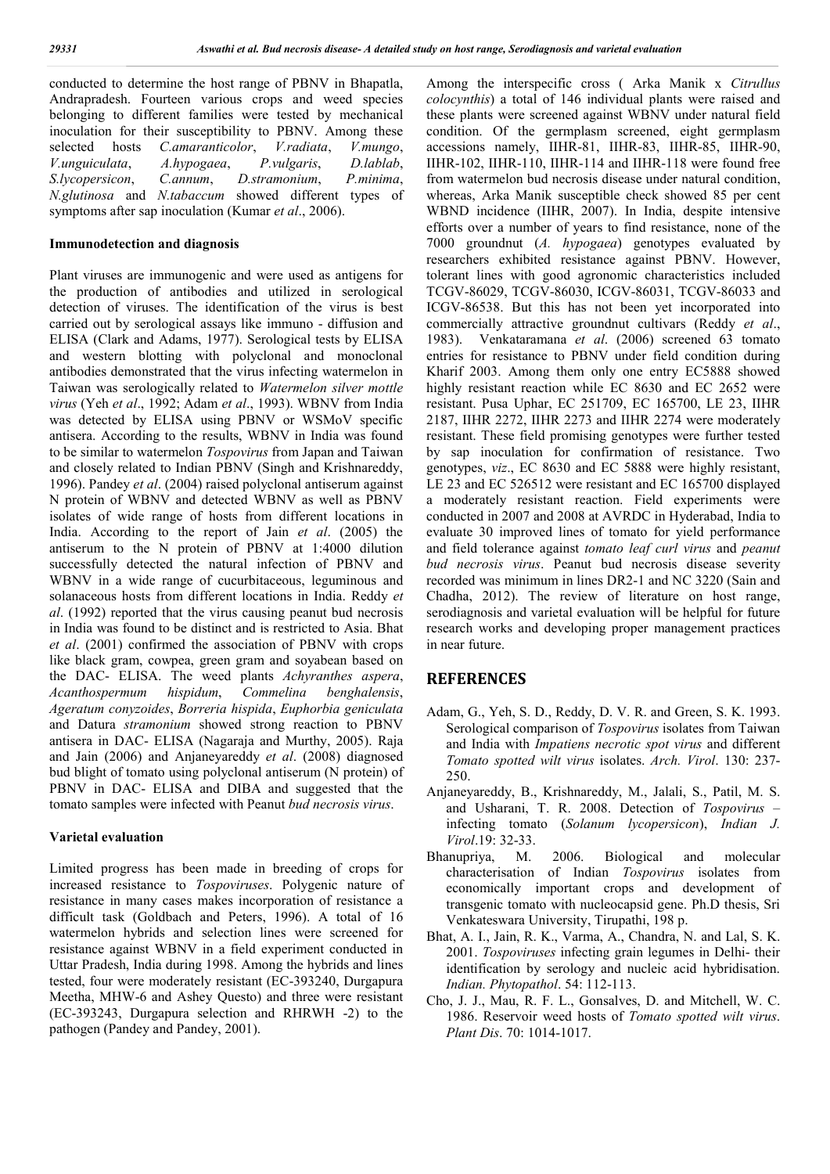conducted to determine the host range of PBNV in Bhapatla, Andrapradesh. Fourteen various crops and weed species belonging to different families were tested by mechanical inoculation for their susceptibility to PBNV. Among these selected hosts *C.amaranticolor*, *V.radiata*, *V.mungo*, *V.unguiculata*, *A.hypogaea*, *P.vulgaris*, *D.lablab*, *S.lycopersicon*, *C.annum*, *D.stramonium*, *P.minima*, *N.glutinosa* and *N.tabaccum* showed different types of symptoms after sap inoculation (Kumar *et al*., 2006).

## **Immunodetection and diagnosis**

Plant viruses are immunogenic and were used as antigens for the production of antibodies and utilized in serological detection of viruses. The identification of the virus is best carried out by serological assays like immuno - diffusion and ELISA (Clark and Adams, 1977). Serological tests by ELISA and western blotting with polyclonal and monoclonal antibodies demonstrated that the virus infecting watermelon in Taiwan was serologically related to *Watermelon silver mottle virus* (Yeh *et al*., 1992; Adam *et al*., 1993). WBNV from India was detected by ELISA using PBNV or WSMoV specific antisera. According to the results, WBNV in India was found to be similar to watermelon *Tospovirus* from Japan and Taiwan and closely related to Indian PBNV (Singh and Krishnareddy, 1996). Pandey *et al*. (2004) raised polyclonal antiserum against N protein of WBNV and detected WBNV as well as PBNV isolates of wide range of hosts from different locations in India. According to the report of Jain *et al*. (2005) the antiserum to the N protein of PBNV at 1:4000 dilution successfully detected the natural infection of PBNV and WBNV in a wide range of cucurbitaceous, leguminous and solanaceous hosts from different locations in India. Reddy *et al*. (1992) reported that the virus causing peanut bud necrosis in India was found to be distinct and is restricted to Asia. Bhat *et al*. (2001) confirmed the association of PBNV with crops like black gram, cowpea, green gram and soyabean based on the DAC- ELISA. The weed plants *Achyranthes aspera*, *Acanthospermum hispidum*, *Commelina benghalensis*, *Ageratum conyzoides*, *Borreria hispida*, *Euphorbia geniculata* and Datura *stramonium* showed strong reaction to PBNV antisera in DAC- ELISA (Nagaraja and Murthy, 2005). Raja and Jain (2006) and Anjaneyareddy *et al*. (2008) diagnosed bud blight of tomato using polyclonal antiserum (N protein) of PBNV in DAC- ELISA and DIBA and suggested that the tomato samples were infected with Peanut *bud necrosis virus*.

### **Varietal evaluation**

Limited progress has been made in breeding of crops for increased resistance to *Tospoviruses*. Polygenic nature of resistance in many cases makes incorporation of resistance a difficult task (Goldbach and Peters, 1996). A total of 16 watermelon hybrids and selection lines were screened for resistance against WBNV in a field experiment conducted in Uttar Pradesh, India during 1998. Among the hybrids and lines tested, four were moderately resistant (EC-393240, Durgapura Meetha, MHW-6 and Ashey Questo) and three were resistant (EC-393243, Durgapura selection and RHRWH -2) to the pathogen (Pandey and Pandey, 2001).

Among the interspecific cross ( Arka Manik x *Citrullus colocynthis*) a total of 146 individual plants were raised and these plants were screened against WBNV under natural field condition. Of the germplasm screened, eight germplasm accessions namely, IIHR-81, IIHR-83, IIHR-85, IIHR-90, IIHR-102, IIHR-110, IIHR-114 and IIHR-118 were found free from watermelon bud necrosis disease under natural condition, whereas, Arka Manik susceptible check showed 85 per cent WBND incidence (IIHR, 2007). In India, despite intensive efforts over a number of years to find resistance, none of the 7000 groundnut (*A. hypogaea*) genotypes evaluated by researchers exhibited resistance against PBNV. However, tolerant lines with good agronomic characteristics included TCGV-86029, TCGV-86030, ICGV-86031, TCGV-86033 and ICGV-86538. But this has not been yet incorporated into commercially attractive groundnut cultivars (Reddy *et al*., 1983). Venkataramana *et al*. (2006) screened 63 tomato entries for resistance to PBNV under field condition during Kharif 2003. Among them only one entry EC5888 showed highly resistant reaction while EC 8630 and EC 2652 were resistant. Pusa Uphar, EC 251709, EC 165700, LE 23, IIHR 2187, IIHR 2272, IIHR 2273 and IIHR 2274 were moderately resistant. These field promising genotypes were further tested by sap inoculation for confirmation of resistance. Two genotypes, *viz*., EC 8630 and EC 5888 were highly resistant, LE 23 and EC 526512 were resistant and EC 165700 displayed a moderately resistant reaction. Field experiments were conducted in 2007 and 2008 at AVRDC in Hyderabad, India to evaluate 30 improved lines of tomato for yield performance and field tolerance against *tomato leaf curl virus* and *peanut bud necrosis virus*. Peanut bud necrosis disease severity recorded was minimum in lines DR2-1 and NC 3220 (Sain and Chadha, 2012). The review of literature on host range, serodiagnosis and varietal evaluation will be helpful for future research works and developing proper management practices in near future.

## **REFERENCES**

- Adam, G., Yeh, S. D., Reddy, D. V. R. and Green, S. K. 1993. Serological comparison of *Tospovirus* isolates from Taiwan and India with *Impatiens necrotic spot virus* and different *Tomato spotted wilt virus* isolates. *Arch. Virol*. 130: 237- 250.
- Anjaneyareddy, B., Krishnareddy, M., Jalali, S., Patil, M. S. and Usharani, T. R. 2008. Detection of *Tospovirus* – infecting tomato (*Solanum lycopersicon*), *Indian J. Virol*.19: 32-33.
- Bhanupriya, M. 2006. Biological and molecular characterisation of Indian *Tospovirus* isolates from economically important crops and development of transgenic tomato with nucleocapsid gene. Ph.D thesis, Sri Venkateswara University, Tirupathi, 198 p.
- Bhat, A. I., Jain, R. K., Varma, A., Chandra, N. and Lal, S. K. 2001. *Tospoviruses* infecting grain legumes in Delhi- their identification by serology and nucleic acid hybridisation. *Indian. Phytopathol*. 54: 112-113.
- Cho, J. J., Mau, R. F. L., Gonsalves, D. and Mitchell, W. C. 1986. Reservoir weed hosts of *Tomato spotted wilt virus*. *Plant Dis*. 70: 1014-1017.